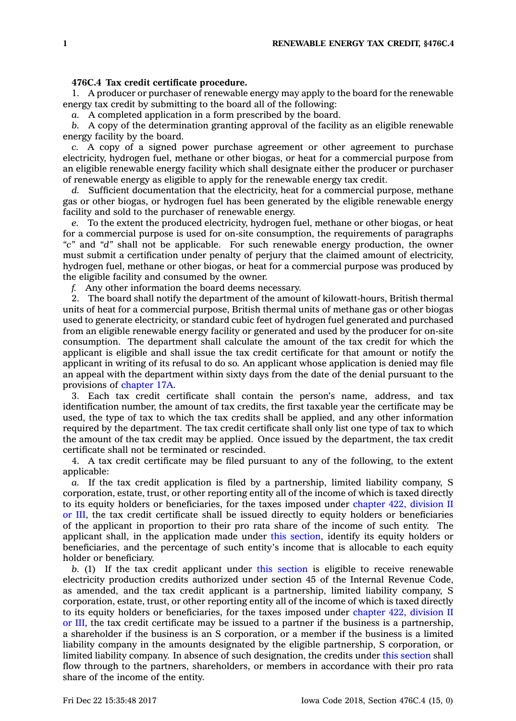## **476C.4 Tax credit certificate procedure.**

1. A producer or purchaser of renewable energy may apply to the board for the renewable energy tax credit by submitting to the board all of the following:

*a.* A completed application in <sup>a</sup> form prescribed by the board.

*b.* A copy of the determination granting approval of the facility as an eligible renewable energy facility by the board.

*c.* A copy of <sup>a</sup> signed power purchase agreement or other agreement to purchase electricity, hydrogen fuel, methane or other biogas, or heat for <sup>a</sup> commercial purpose from an eligible renewable energy facility which shall designate either the producer or purchaser of renewable energy as eligible to apply for the renewable energy tax credit.

*d.* Sufficient documentation that the electricity, heat for <sup>a</sup> commercial purpose, methane gas or other biogas, or hydrogen fuel has been generated by the eligible renewable energy facility and sold to the purchaser of renewable energy.

*e.* To the extent the produced electricity, hydrogen fuel, methane or other biogas, or heat for <sup>a</sup> commercial purpose is used for on-site consumption, the requirements of paragraphs *"c"* and *"d"* shall not be applicable. For such renewable energy production, the owner must submit <sup>a</sup> certification under penalty of perjury that the claimed amount of electricity, hydrogen fuel, methane or other biogas, or heat for <sup>a</sup> commercial purpose was produced by the eligible facility and consumed by the owner.

*f.* Any other information the board deems necessary.

2. The board shall notify the department of the amount of kilowatt-hours, British thermal units of heat for <sup>a</sup> commercial purpose, British thermal units of methane gas or other biogas used to generate electricity, or standard cubic feet of hydrogen fuel generated and purchased from an eligible renewable energy facility or generated and used by the producer for on-site consumption. The department shall calculate the amount of the tax credit for which the applicant is eligible and shall issue the tax credit certificate for that amount or notify the applicant in writing of its refusal to do so. An applicant whose application is denied may file an appeal with the department within sixty days from the date of the denial pursuant to the provisions of [chapter](https://www.legis.iowa.gov/docs/code//17A.pdf) 17A.

3. Each tax credit certificate shall contain the person's name, address, and tax identification number, the amount of tax credits, the first taxable year the certificate may be used, the type of tax to which the tax credits shall be applied, and any other information required by the department. The tax credit certificate shall only list one type of tax to which the amount of the tax credit may be applied. Once issued by the department, the tax credit certificate shall not be terminated or rescinded.

4. A tax credit certificate may be filed pursuant to any of the following, to the extent applicable:

*a.* If the tax credit application is filed by <sup>a</sup> partnership, limited liability company, S corporation, estate, trust, or other reporting entity all of the income of which is taxed directly to its equity holders or beneficiaries, for the taxes imposed under [chapter](https://www.legis.iowa.gov/docs/code//422.pdf) 422, division II or [III](https://www.legis.iowa.gov/docs/code//422.pdf), the tax credit certificate shall be issued directly to equity holders or beneficiaries of the applicant in proportion to their pro rata share of the income of such entity. The applicant shall, in the application made under this [section](https://www.legis.iowa.gov/docs/code/476C.4.pdf), identify its equity holders or beneficiaries, and the percentage of such entity's income that is allocable to each equity holder or beneficiary.

*b.* (1) If the tax credit applicant under this [section](https://www.legis.iowa.gov/docs/code/476C.4.pdf) is eligible to receive renewable electricity production credits authorized under section 45 of the Internal Revenue Code, as amended, and the tax credit applicant is <sup>a</sup> partnership, limited liability company, S corporation, estate, trust, or other reporting entity all of the income of which is taxed directly to its equity holders or beneficiaries, for the taxes imposed under [chapter](https://www.legis.iowa.gov/docs/code//422.pdf) 422, division II or [III](https://www.legis.iowa.gov/docs/code//422.pdf), the tax credit certificate may be issued to <sup>a</sup> partner if the business is <sup>a</sup> partnership, <sup>a</sup> shareholder if the business is an S corporation, or <sup>a</sup> member if the business is <sup>a</sup> limited liability company in the amounts designated by the eligible partnership, S corporation, or limited liability company. In absence of such designation, the credits under this [section](https://www.legis.iowa.gov/docs/code/476C.4.pdf) shall flow through to the partners, shareholders, or members in accordance with their pro rata share of the income of the entity.